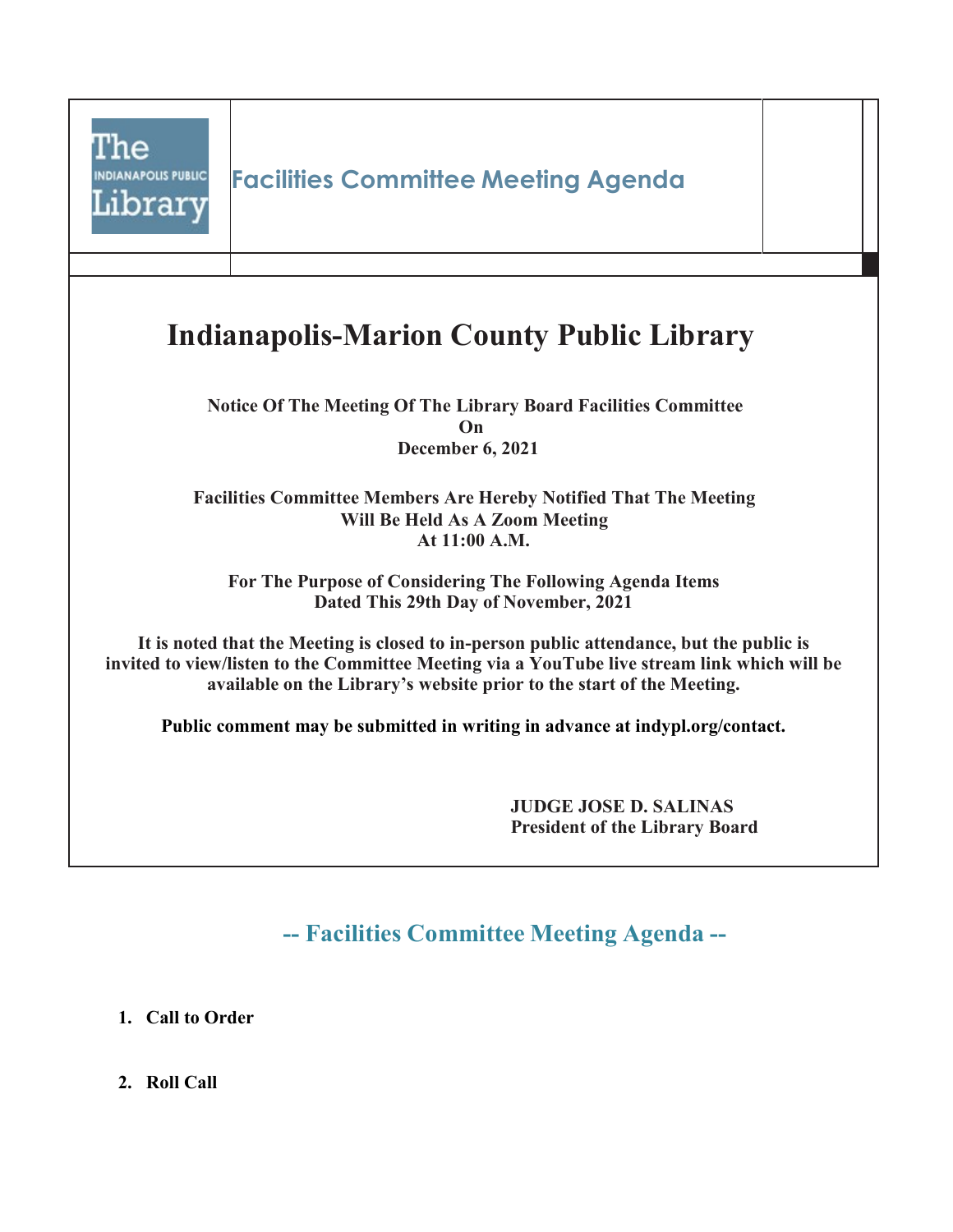

**-- Facilities Committee Meeting Agenda --**

**1. Call to Order**

**2. Roll Call**